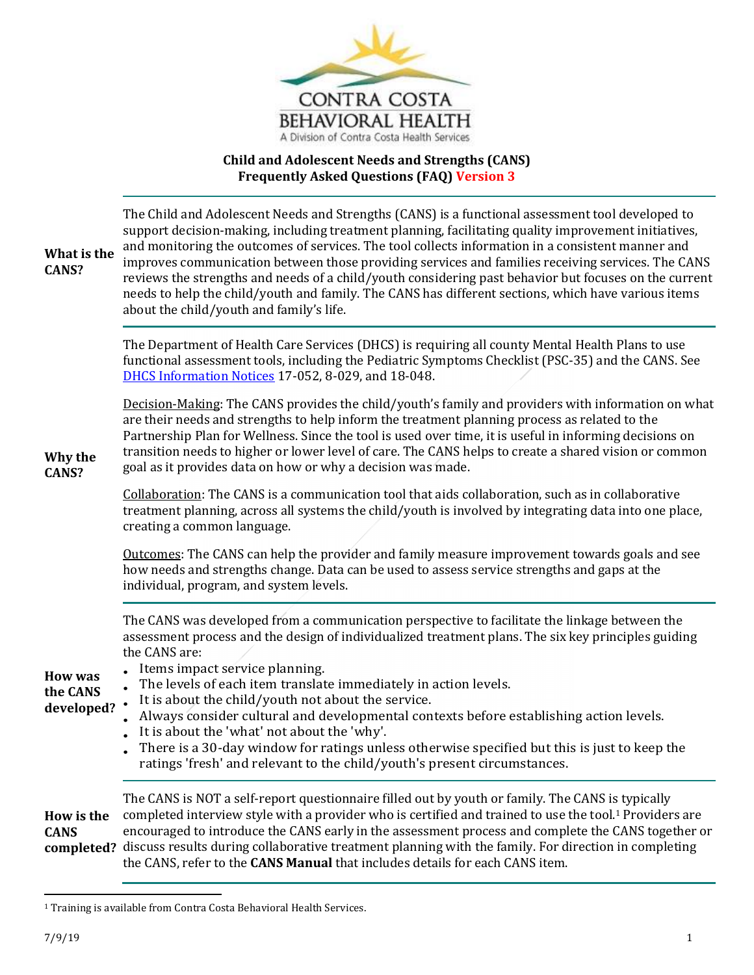

## **Child and Adolescent Needs and Strengths (CANS) Frequently Asked Questions (FAQ) Version 3**

| What is the<br>CANS?                     | The Child and Adolescent Needs and Strengths (CANS) is a functional assessment tool developed to<br>support decision-making, including treatment planning, facilitating quality improvement initiatives,<br>and monitoring the outcomes of services. The tool collects information in a consistent manner and<br>improves communication between those providing services and families receiving services. The CANS<br>reviews the strengths and needs of a child/youth considering past behavior but focuses on the current<br>needs to help the child/youth and family. The CANS has different sections, which have various items<br>about the child/youth and family's life. |
|------------------------------------------|--------------------------------------------------------------------------------------------------------------------------------------------------------------------------------------------------------------------------------------------------------------------------------------------------------------------------------------------------------------------------------------------------------------------------------------------------------------------------------------------------------------------------------------------------------------------------------------------------------------------------------------------------------------------------------|
|                                          | The Department of Health Care Services (DHCS) is requiring all county Mental Health Plans to use<br>functional assessment tools, including the Pediatric Symptoms Checklist (PSC-35) and the CANS. See<br>DHCS Information Notices 17-052, 8-029, and 18-048.                                                                                                                                                                                                                                                                                                                                                                                                                  |
| Why the<br>CANS?                         | Decision-Making: The CANS provides the child/youth's family and providers with information on what<br>are their needs and strengths to help inform the treatment planning process as related to the<br>Partnership Plan for Wellness. Since the tool is used over time, it is useful in informing decisions on<br>transition needs to higher or lower level of care. The CANS helps to create a shared vision or common<br>goal as it provides data on how or why a decision was made.                                                                                                                                                                                         |
|                                          | Collaboration: The CANS is a communication tool that aids collaboration, such as in collaborative<br>treatment planning, across all systems the child/youth is involved by integrating data into one place,<br>creating a common language.                                                                                                                                                                                                                                                                                                                                                                                                                                     |
|                                          | Outcomes: The CANS can help the provider and family measure improvement towards goals and see<br>how needs and strengths change. Data can be used to assess service strengths and gaps at the<br>individual, program, and system levels.                                                                                                                                                                                                                                                                                                                                                                                                                                       |
| <b>How was</b><br>the CANS<br>developed? | The CANS was developed from a communication perspective to facilitate the linkage between the<br>assessment process and the design of individualized treatment plans. The six key principles guiding<br>the CANS are:<br>Items impact service planning.<br>The levels of each item translate immediately in action levels.<br>It is about the child/youth not about the service.<br>Always consider cultural and developmental contexts before establishing action levels.<br>It is about the 'what' not about the 'why'.<br>There is a 30-day window for ratings unless otherwise specified but this is just to keep the                                                      |
|                                          | ratings 'fresh' and relevant to the child/youth's present circumstances.                                                                                                                                                                                                                                                                                                                                                                                                                                                                                                                                                                                                       |
| How is the<br><b>CANS</b>                | The CANS is NOT a self-report questionnaire filled out by youth or family. The CANS is typically<br>completed interview style with a provider who is certified and trained to use the tool. <sup>1</sup> Providers are<br>encouraged to introduce the CANS early in the assessment process and complete the CANS together or<br>completed? discuss results during collaborative treatment planning with the family. For direction in completing<br>the CANS, refer to the CANS Manual that includes details for each CANS item.                                                                                                                                                |

<sup>&</sup>lt;sup>1</sup> Training is available from Contra Costa Behavioral Health Services.

 $\overline{\phantom{0}}$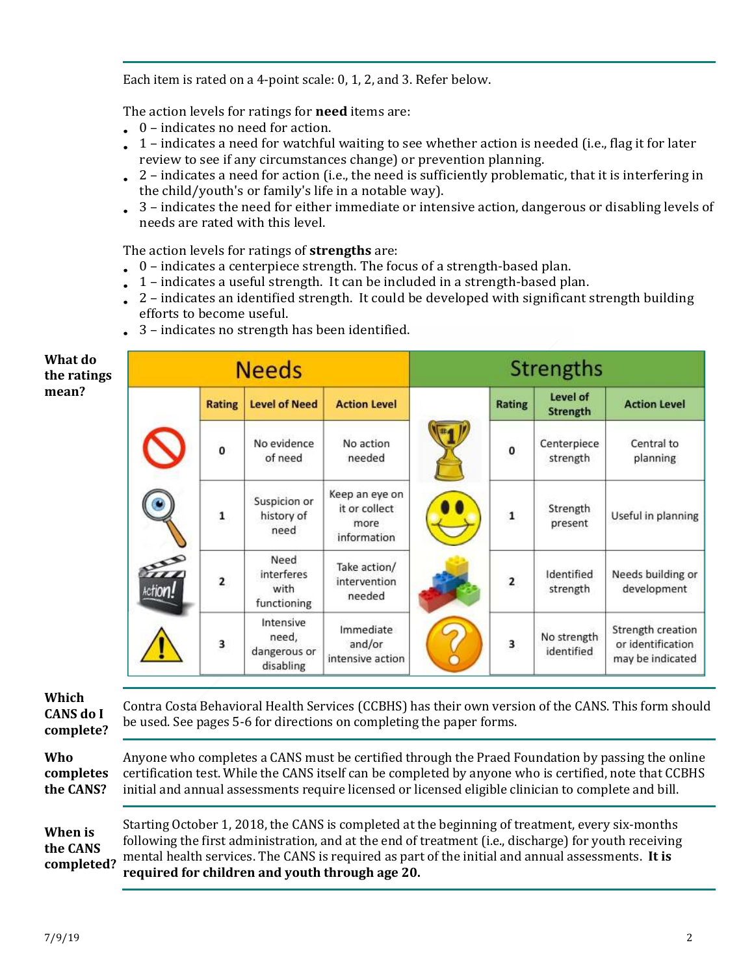Each item is rated on a 4-point scale: 0, 1, 2, and 3. Refer below.

The action levels for ratings for **need** items are:

- 0 indicates no need for action.
- $\bullet$  1 indicates a need for watchful waiting to see whether action is needed (i.e., flag it for later review to see if any circumstances change) or prevention planning.
- 2 indicates a need for action (i.e., the need is sufficiently problematic, that it is interfering in the child/youth's or family's life in a notable way).
- $\bullet$  3 indicates the need for either immediate or intensive action, dangerous or disabling levels of needs are rated with this level.

The action levels for ratings of **strengths** are:

- $\bullet$  0 indicates a centerpiece strength. The focus of a strength-based plan.
- $\bullet$  1 indicates a useful strength. It can be included in a strength-based plan.
- $\epsilon$  2 indicates an identified strength. It could be developed with significant strength building efforts to become useful.
- 3 indicates no strength has been identified.

## **What do the ratings mean?**

| <b>Needs</b> |               |                                                 | Strengths                                              |  |               |                           |                                                            |
|--------------|---------------|-------------------------------------------------|--------------------------------------------------------|--|---------------|---------------------------|------------------------------------------------------------|
|              | <b>Rating</b> | <b>Level of Need</b>                            | <b>Action Level</b>                                    |  | <b>Rating</b> | Level of<br>Strength      | <b>Action Level</b>                                        |
|              | $\mathbf{o}$  | No evidence<br>of need                          | No action<br>needed                                    |  | $\mathbf{o}$  | Centerpiece<br>strength   | Central to<br>planning                                     |
|              | 1             | Suspicion or<br>history of<br>need              | Keep an eye on<br>it or collect<br>more<br>information |  | $\mathbf{1}$  | Strength<br>present       | Useful in planning                                         |
| Action!      | $\mathbf{2}$  | Need<br>interferes<br>with<br>functioning       | Take action/<br>intervention<br>needed                 |  | 2             | Identified<br>strength    | Needs building or<br>development                           |
|              | 3             | Intensive<br>need,<br>dangerous or<br>disabling | Immediate<br>and/or<br>intensive action                |  | 3             | No strength<br>identified | Strength creation<br>or identification<br>may be indicated |

**Which CANS do I** 

**complete?**  Contra Costa Behavioral Health Services (CCBHS) has their own version of the CANS. This form should be used. See pages 5-6 for directions on completing the paper forms.

**Who** 

**completes the CANS?**

Anyone who completes a CANS must be certified through the Praed Foundation by passing the online certification test. While the CANS itself can be completed by anyone who is certified, note that CCBHS initial and annual assessments require licensed or licensed eligible clinician to complete and bill.

**When is the CANS completed?** Starting October 1, 2018, the CANS is completed at the beginning of treatment, every six-months following the first administration, and at the end of treatment (i.e., discharge) for youth receiving mental health services. The CANS is required as part of the initial and annual assessments. **It is required for children and youth through age 20.**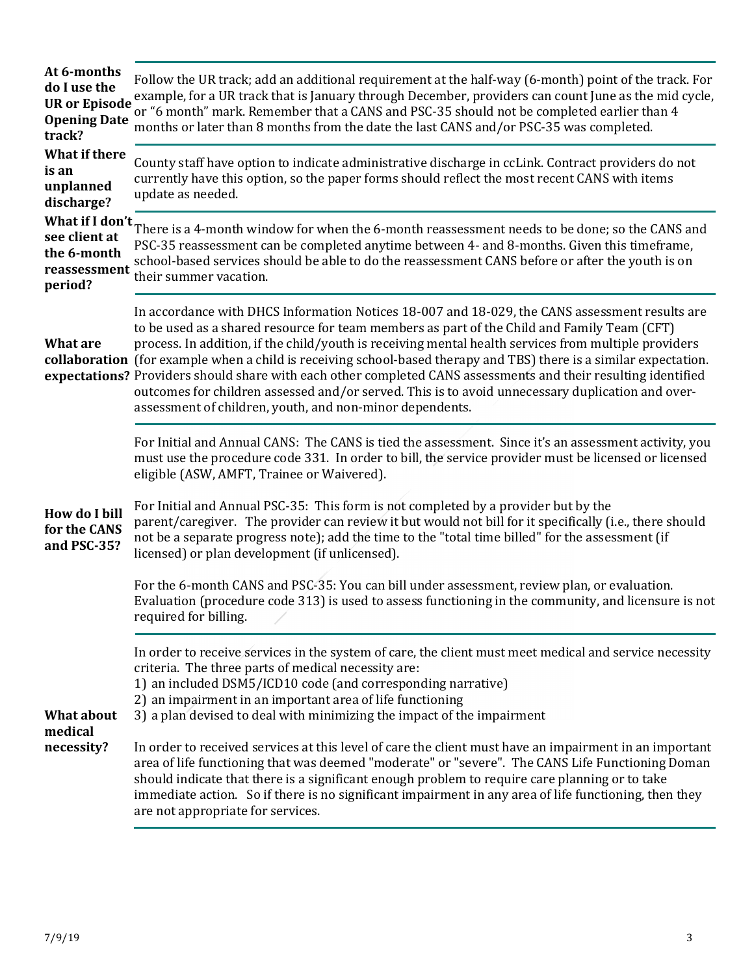| At 6-months<br>do I use the<br><b>UR or Episode</b><br><b>Opening Date</b><br>track? | Follow the UR track; add an additional requirement at the half-way (6-month) point of the track. For<br>example, for a UR track that is January through December, providers can count June as the mid cycle,<br>or "6 month" mark. Remember that a CANS and PSC-35 should not be completed earlier than 4<br>months or later than 8 months from the date the last CANS and/or PSC-35 was completed.                                                                                                                                                                                                                                                                                                           |
|--------------------------------------------------------------------------------------|---------------------------------------------------------------------------------------------------------------------------------------------------------------------------------------------------------------------------------------------------------------------------------------------------------------------------------------------------------------------------------------------------------------------------------------------------------------------------------------------------------------------------------------------------------------------------------------------------------------------------------------------------------------------------------------------------------------|
| <b>What if there</b><br>is an<br>unplanned<br>discharge?                             | County staff have option to indicate administrative discharge in ccLink. Contract providers do not<br>currently have this option, so the paper forms should reflect the most recent CANS with items<br>update as needed.                                                                                                                                                                                                                                                                                                                                                                                                                                                                                      |
| What if I don't<br>see client at<br>the 6-month<br>reassessment<br>period?           | There is a 4-month window for when the 6-month reassessment needs to be done; so the CANS and<br>PSC-35 reassessment can be completed anytime between 4- and 8-months. Given this timeframe,<br>school-based services should be able to do the reassessment CANS before or after the youth is on<br>their summer vacation.                                                                                                                                                                                                                                                                                                                                                                                    |
| <b>What are</b>                                                                      | In accordance with DHCS Information Notices 18-007 and 18-029, the CANS assessment results are<br>to be used as a shared resource for team members as part of the Child and Family Team (CFT)<br>process. In addition, if the child/youth is receiving mental health services from multiple providers<br>collaboration (for example when a child is receiving school-based therapy and TBS) there is a similar expectation.<br>expectations? Providers should share with each other completed CANS assessments and their resulting identified<br>outcomes for children assessed and/or served. This is to avoid unnecessary duplication and over-<br>assessment of children, youth, and non-minor dependents. |
|                                                                                      | For Initial and Annual CANS: The CANS is tied the assessment. Since it's an assessment activity, you<br>must use the procedure code 331. In order to bill, the service provider must be licensed or licensed<br>eligible (ASW, AMFT, Trainee or Waivered).                                                                                                                                                                                                                                                                                                                                                                                                                                                    |
| <b>How do I bill</b><br>for the CANS<br>and PSC-35?                                  | For Initial and Annual PSC-35: This form is not completed by a provider but by the<br>parent/caregiver. The provider can review it but would not bill for it specifically (i.e., there should<br>not be a separate progress note); add the time to the "total time billed" for the assessment (if<br>licensed) or plan development (if unlicensed).                                                                                                                                                                                                                                                                                                                                                           |
|                                                                                      | For the 6-month CANS and PSC-35: You can bill under assessment, review plan, or evaluation.<br>Evaluation (procedure code 313) is used to assess functioning in the community, and licensure is not<br>required for billing.                                                                                                                                                                                                                                                                                                                                                                                                                                                                                  |
| <b>What about</b><br>medical                                                         | In order to receive services in the system of care, the client must meet medical and service necessity<br>criteria. The three parts of medical necessity are:<br>1) an included DSM5/ICD10 code (and corresponding narrative)<br>2) an impairment in an important area of life functioning<br>3) a plan devised to deal with minimizing the impact of the impairment                                                                                                                                                                                                                                                                                                                                          |
| necessity?                                                                           | In order to received services at this level of care the client must have an impairment in an important<br>area of life functioning that was deemed "moderate" or "severe". The CANS Life Functioning Doman<br>should indicate that there is a significant enough problem to require care planning or to take<br>immediate action. So if there is no significant impairment in any area of life functioning, then they<br>are not appropriate for services.                                                                                                                                                                                                                                                    |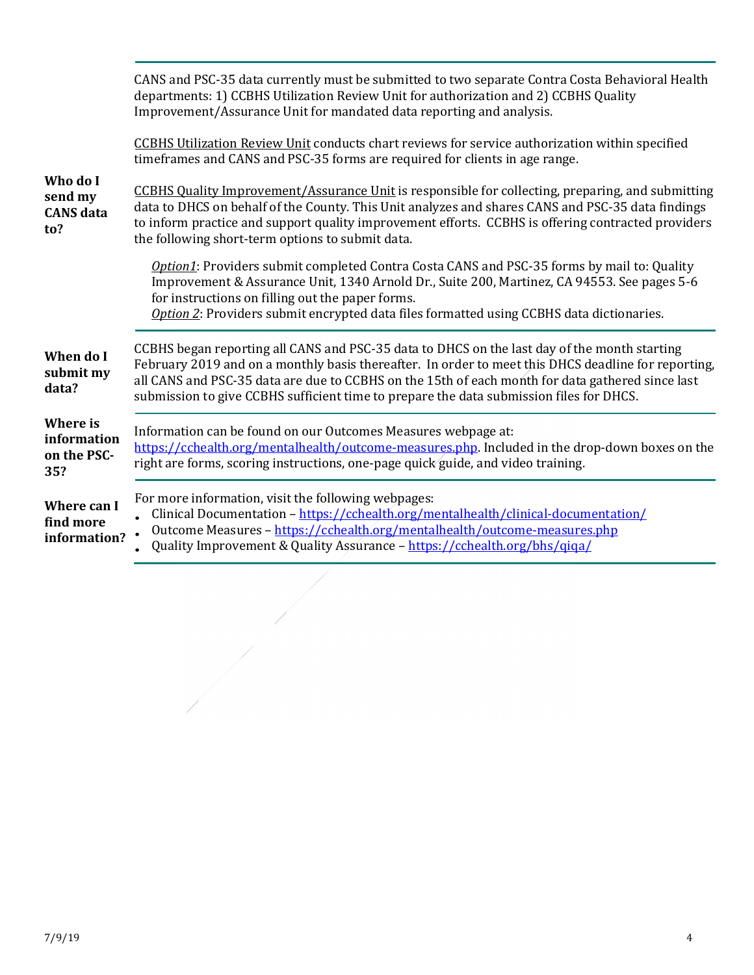|                                                | CANS and PSC-35 data currently must be submitted to two separate Contra Costa Behavioral Health<br>departments: 1) CCBHS Utilization Review Unit for authorization and 2) CCBHS Quality<br>Improvement/Assurance Unit for mandated data reporting and analysis.                                                                                                                                    |
|------------------------------------------------|----------------------------------------------------------------------------------------------------------------------------------------------------------------------------------------------------------------------------------------------------------------------------------------------------------------------------------------------------------------------------------------------------|
|                                                | <b>CCBHS Utilization Review Unit conducts chart reviews for service authorization within specified</b><br>timeframes and CANS and PSC-35 forms are required for clients in age range.                                                                                                                                                                                                              |
| Who do I<br>send my<br><b>CANS</b> data<br>to? | CCBHS Quality Improvement/Assurance Unit is responsible for collecting, preparing, and submitting<br>data to DHCS on behalf of the County. This Unit analyzes and shares CANS and PSC-35 data findings<br>to inform practice and support quality improvement efforts. CCBHS is offering contracted providers<br>the following short-term options to submit data.                                   |
|                                                | Option1: Providers submit completed Contra Costa CANS and PSC-35 forms by mail to: Quality<br>Improvement & Assurance Unit, 1340 Arnold Dr., Suite 200, Martinez, CA 94553. See pages 5-6<br>for instructions on filling out the paper forms.<br>Option 2: Providers submit encrypted data files formatted using CCBHS data dictionaries.                                                          |
| When do I<br>submit my<br>data?                | CCBHS began reporting all CANS and PSC-35 data to DHCS on the last day of the month starting<br>February 2019 and on a monthly basis thereafter. In order to meet this DHCS deadline for reporting,<br>all CANS and PSC-35 data are due to CCBHS on the 15th of each month for data gathered since last<br>submission to give CCBHS sufficient time to prepare the data submission files for DHCS. |
| Where is<br>information<br>on the PSC-<br>35?  | Information can be found on our Outcomes Measures webpage at:<br>https://cchealth.org/mentalhealth/outcome-measures.php. Included in the drop-down boxes on the<br>right are forms, scoring instructions, one-page quick guide, and video training.                                                                                                                                                |
| Where can I<br>find more<br>information?       | For more information, visit the following webpages:<br>Clinical Documentation - https://cchealth.org/mentalhealth/clinical-documentation/<br>Outcome Measures - https://cchealth.org/mentalhealth/outcome-measures.php<br>Quality Improvement & Quality Assurance - https://cchealth.org/bhs/qiqa/                                                                                                 |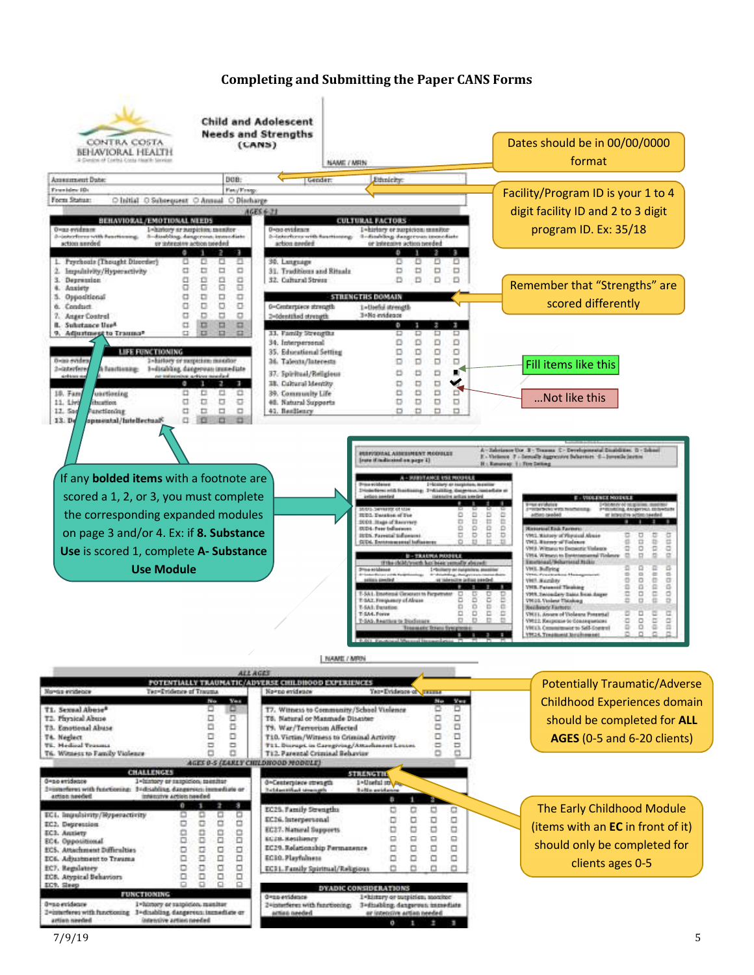## **Completing and Submitting the Paper CANS Forms**